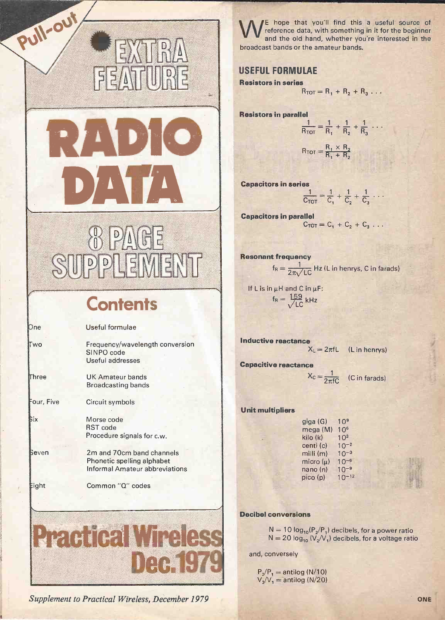# RADIO DATA Capacitors in s  $\overline{D}$ GE<br>5 EIM  $\mathsf{D}$

FR.

5X

FEATURE

Pull-out

# **Contents**

| One        | Useful formulae                                                                           |  |  |  |  |  |  |
|------------|-------------------------------------------------------------------------------------------|--|--|--|--|--|--|
| Two        | Frequency/wavelength conversion<br>SINPO code<br>Useful addresses                         |  |  |  |  |  |  |
| Three      | <b>UK Amateur bands</b><br><b>Broadcasting bands</b>                                      |  |  |  |  |  |  |
| Four, Five | Circuit symbols                                                                           |  |  |  |  |  |  |
| Бiх        | Morse code<br><b>RST</b> code<br>Procedure signals for c.w.                               |  |  |  |  |  |  |
| Beven      | 2m and 70cm band channels<br>Phonetic spelling alphabet<br>Informal Amateur abbreviations |  |  |  |  |  |  |
| Eight      | Common "Q" codes                                                                          |  |  |  |  |  |  |
|            |                                                                                           |  |  |  |  |  |  |
|            | HI                                                                                        |  |  |  |  |  |  |
|            |                                                                                           |  |  |  |  |  |  |

Supplement to Practical Wireless, December 1979 ONE

hope that you'll find this a useful source of reference data, with something in it for the beginner and the old hand, whether you're interested in the broadcast bands or the amateur bands.

# USEFUL FORMULAE

Resistors in series

 $R_{TOT} = R_1 + R_2 + R_3 \ldots$ 

Resistors in parallel

$$
\frac{1}{R_{TOT}} = \frac{1}{R_1} + \frac{1}{R_2} + \frac{1}{R_3} \cdots
$$

$$
R_{\text{TOT}} = \frac{R_1 \times R_2}{R_1 + R_2}
$$

Capacitors in series

$$
\frac{1}{C_{TOT}} = \frac{1}{C_1} + \frac{1}{C_2} + \frac{1}{C_3} + \cdots
$$

Capacitors in parallel  $C_{TOT} = C_1 + C_2 + C_3 \ldots$ 

**Resonant frequency**  
\n
$$
f_R = \frac{1}{2\pi\sqrt{LC}}
$$
 Hz (L in henrys, C in farads)

If L is in  $\mu$ H and C in  $\mu$ F:  $f_R = \frac{159}{\sqrt{LC}}$  kHz

Inductive reactance  $X_L = 2\pi fL$  (L in henrys) Capacitive reactance

 $X_c = \frac{1}{2\pi fC}$  (C in farads)

#### Unit multipliers

| giga (G)      | 10 <sup>9</sup> |
|---------------|-----------------|
| mega (M)      | 10 <sup>6</sup> |
| kilo (k)      | 10 <sup>3</sup> |
| centi (c)     | $10^{-2}$       |
| milli(m)      | $10^{-3}$       |
| micro $(\mu)$ | $10^{-6}$       |
| nano(n)       | $10^{-9}$       |
| pico(p)       | $10^{-12}$      |

#### Decibel conversions

 $N = 10 log<sub>10</sub>(P<sub>2</sub>/P<sub>1</sub>)$  decibels, for a power ratio  $N = 20 \log_{10} (V_2/V_1)$  decibels, for a voltage ratio

and, conversely

 $P_2/P_1 =$  antilog (N/10)  $V_2/V_1 =$  antilog (N/20)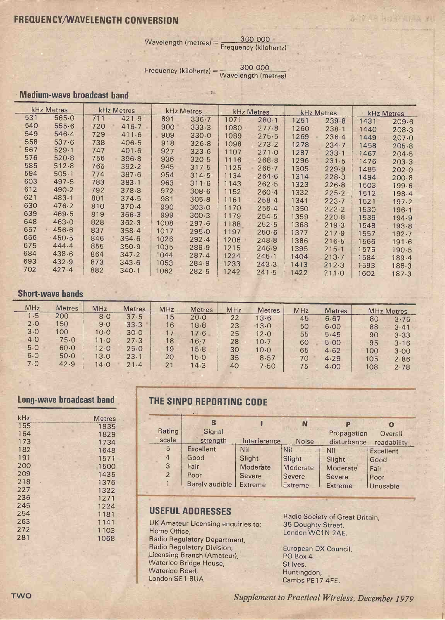# FREQUENCY/WAVELENGTH CONVERSION

 $W$ avelength (metres) =  $\frac{300\ 000}{\text{Frequency (kilohertz)}}$ 

 $-7$ 

**BETWEEN THE REAL WAY** 

 $Frequency (kilohertz) = 
$$
\frac{300\ 000}{Wavelength (metres)}
$$$ 

# Medium -wave broadcast band

| kHz Metres |       |     | kHz Metres<br><b>kHz Metres</b> |      | kHz Metres |      | kHz Metres |      | kHz Metres |       |       |
|------------|-------|-----|---------------------------------|------|------------|------|------------|------|------------|-------|-------|
| 531        | 565.0 | 711 | 421.9                           | 891  | 336.7      | 1071 | 280.1      | 1251 | 239.8      | 1431  | 209.6 |
| 540        | 555.6 | 720 | 416.7                           | 900  | 333.3      | 1080 | 277.8      | 1260 | 238.1      | 1440  | 208.3 |
| 549        | 546.4 | 729 | 411.6                           | 909  | 330.0      | 1089 | 275.5      | 1269 | 236.4      | 1449  | 207.0 |
| 558        | 537.6 | 738 | 406.5                           | 918  | 326.8      | 1098 | 273.2      | 1278 | 234.7      | 1458  | 205.8 |
| 567        | 529.1 | 747 | 401.6                           | 927  | 323.6      | 1107 | 271.0      | 1287 | 233.1      | .1467 | 204.5 |
| 576        | 520.8 | 756 | 396.8                           | 936  | 320.5      | 1116 | 268.8      | 1296 | 231.5      | 1476  | 203.3 |
| 585        | 512.8 | 765 | 392.2                           | 945  | 317.5      | 1125 | 266.7      | 1305 | 229.9      | 1485  | 202.0 |
| 594        | 505.1 | 774 | 387.6                           | 954  | 314.5      | 1134 | 264.6      | 1314 | 228.3      | 1494  | 200.8 |
| 603        | 497.5 | 783 | 383.1                           | 963  | 311.6      | 1143 | 262.5      | 1323 | 226.8      | 1503  | 199.6 |
| 612        | 490.2 | 792 | 378.8                           | 972  | 308.6      | 1152 | 260.4      | 1332 | 225.2      | 1512  | 198.4 |
| 621        | 483.1 | 801 | 374.5                           | 981  | 305.8      | 1161 | 258.4      | 1341 | 223.7      | 1521  | 197.2 |
| 630        | 476.2 | 810 | 370.4                           | 990  | 303.0      | 1170 | 256.4      | 1350 | 222.2      | 1530  | 196.1 |
| 639        | 469.5 | 819 | 366.3                           | 999  | 300.3      | 1179 | 254.5      | 1359 | 220.8      | 1539  | 194.9 |
| 648        | 463.0 | 828 | 362.3                           | 1008 | 297.6      | 1188 | 252.5      | 1368 | 219.3      | 1548  | 193.8 |
| 657        | 456.6 | 837 | 358.4                           | 1017 | 295.0      | 1197 | 250.6      | 1377 | 217.9      | 1557  | 192.7 |
| 666        | 450.5 | 846 | 354.6                           | 1026 | 292.4      | 1206 | 248.8      | 1386 | 216.5      | 1566  | 1916  |
| 675        | 444.4 | 855 | 350.9                           | 1035 | 289.9      | 1215 | 246.9      | 1395 | 215.1      | 1575  | 190.5 |
| 684        | 438.6 | 864 | 347.2                           | 1044 | 287.4      | 1224 | 245.1      | 1404 | 213.7      | 1584  | 189.4 |
| 693        | 432.9 | 873 | 343.6                           | 1053 | 284.9      | 1233 | 243.3      | 1413 | 212.3      | 1593  | 188.3 |
| 702        | 427.4 | 882 | 340.1                           | 1062 | 282.5      | 1242 | 241.5      | 1422 | 211.0      | 1602  | 187.3 |

#### Short-wave bands

| MHz | <b>Metres</b> | MHz  | <b>Metres</b> | MHz | <b>Metres</b> | MHz | <b>Metres</b> | MHz | <b>Metres</b> |     | <b>MHz Metres</b> |
|-----|---------------|------|---------------|-----|---------------|-----|---------------|-----|---------------|-----|-------------------|
| 1.5 | 200           | 8.0  | 37.5          | 15  | 20.0          | 22  | 13.6          | 45  | 6.67          | 80  | 3.75              |
| 2.0 | 50            | 9.0  | 33.3          | 16  | 18.8          | 23  | 13.0          | 50  | 6.00          | 88  | 3.41              |
| 3.0 | 100           | 10.0 | 30.0          | 17  | 17.6          | 25  | 12.0          | 55  | 5.45          | 90  | 3.33              |
| 4.0 | 75.0          | 11.0 | 27.3          | 18  | 16.7          | 28  | 10.7          | 60  | 5.00          | 95  | 3.16              |
| 5.0 | 60.0          | 12.0 | 25.0          | 19  | 15.8          | 30  | 10.0          | 65  | 4.62          | 100 | 3.00              |
| 6.0 | 50.0          | 13.0 | 23.1          | 20  | 15.0          | 35  | 8.57          | 70  | 4.29          | 105 |                   |
|     |               |      |               |     |               |     |               |     |               |     |                   |
| 7.0 | 42.9          | 14.0 | 21.4          | 21  | 14.3          | 40  | 7.50          | 75  | 4.00          | 108 | 2.86<br>2.78      |

### Long-wave broadcast band

| kHz. | <b>Metres</b> |
|------|---------------|
| 155  | 1935          |
| 164  | 1829          |
| 173  | 1734          |
| 182  | 1648          |
| 191  | 1571          |
| 200  | 1500          |
| 209  | 1435          |
| 218  | 1376          |
| 227  | 1322          |
| 236  | 1271          |
| 245  | 1224          |
| 254  | 1181          |
| 263  | 1141          |
| 272  | 1103          |
| 281  | 1068          |
|      |               |

# THE SINPO REPORTING CODE

|                | S                        |               | N            | P                     | O           |
|----------------|--------------------------|---------------|--------------|-----------------------|-------------|
| Rating         | Signal                   |               |              | Propagation           | Overall     |
| scale          | strength                 | Interference  | <b>Noise</b> | disturbance           | readability |
| 5              | Excellent                | Nil           | Nil          | Nil                   | Excellent   |
| $\overline{4}$ | Good                     | Slight        | Slight       | Slight                | Good        |
| 3              | Fair                     | Moderate      | Moderate     | Moderate <sup>'</sup> | Fair        |
| $\overline{2}$ | Poor                     | <b>Severe</b> | Severe       | Severe                | Poor        |
|                | Barely audible J Extreme |               | Extreme      | Extreme               | Unusable    |

# USEFUL ADDRESSES

UK Amateur Licensing enquiries to: Home Office, Radio Regulatory Department, Radio Regulatory Division, .Licensing Branch (Amateur), Waterloo Bridge House, Waterloo Road, London SE1 8UA

Radio Society of Great Britain, 35 Doughty Street, London WC1N 2AE.

European DX Council, PO Box 4. St Ives, Huntingdon, Cambs PE17 4FE.

TWO Supplement to Practical Wireless, December 1979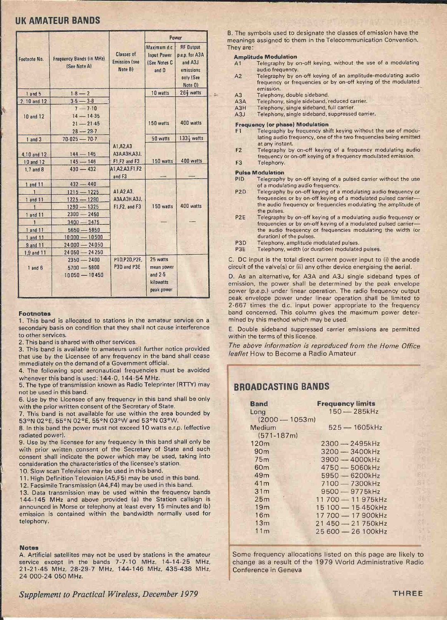### UK AMATEUR BANDS

|               |                          |                             |                        | Power                  |               | B. The<br>meanir |
|---------------|--------------------------|-----------------------------|------------------------|------------------------|---------------|------------------|
|               |                          |                             | Maximum d.c.           | <b>RF Output</b>       |               | They a           |
|               |                          | <b>Classes of</b>           | <b>Input Power</b>     | p.e.p. for A3A         |               | Amp              |
| Footnote No.  | Frequency Bands (in MHz) | <b>Emission (see</b>        | (See Notes C           | and A3J                |               | A1               |
|               | (See Note A)             | Note B)                     | and D                  | emissions              |               |                  |
|               |                          |                             |                        | only (See              |               | A2               |
|               |                          |                             |                        | Note 0)                |               |                  |
| $1$ and $5$   | $1.8 - 2$                |                             | 10 watts               | $26\frac{2}{3}$ watts  | $\frac{1}{2}$ | A3               |
| 2, 10 and 12  | $3.5 - 3.8$              |                             |                        |                        |               | A3A              |
|               | $7 - 7.10$               |                             |                        |                        |               | A3H              |
| 10 and 12     | $14 - 14.35$             |                             |                        |                        |               | A3J              |
|               | $21 - 21.45$             |                             | 150 watts              | 400 watts              |               | Fred             |
|               | $28 - 29.7$              |                             |                        |                        |               | F1               |
| $1$ and $3$   | $70.025 - 70.7$          |                             | 50 watts               | $133\frac{1}{3}$ watts |               |                  |
|               |                          | A1.A2.A3                    |                        |                        |               | F2               |
| 4,10 and 12   | $144 - 145$              | A3A, A3H, A3J,              |                        |                        |               |                  |
| 10 and 12     | $145 - 146$              | F1,F2 and F3                | 150 watts              | 400 watts              |               | F <sub>3</sub>   |
| $1.7$ and $8$ | $430 - 432$              | A1, A2, A3, F1, F2          |                        |                        |               | Puls             |
|               |                          | and F3                      |                        |                        |               | PID              |
| 1 and 11      | $432 - 440$              |                             |                        |                        |               |                  |
|               | $1215 - 1225$            | A1.A2.A3.                   |                        |                        |               | P <sub>2</sub> D |
| 1 and 11      | $1225 - 1290$            | A3A, A3H, A3J,              |                        |                        |               |                  |
|               | $1290 - 1325$            | F1,F2, and F3               | 150 watts              | 400 watts              |               |                  |
| 1 and 11      | $2300 - 2450$            |                             |                        |                        |               | P <sub>2</sub> E |
| $\mathbf{1}$  | $3400 - 3475$            |                             |                        |                        |               |                  |
| 1 and 11      | $5650 - 5850$            |                             |                        |                        |               |                  |
| 1 and 11      | $10000 - 10500$          |                             |                        |                        |               | P <sub>3</sub> D |
| 9 and 11      | $24000 - 24050$          |                             |                        |                        |               | P3E              |
| 1,9 and 11    | 24 050 - 24 250          |                             |                        |                        |               |                  |
|               | $2350 - 2400$            | P1D.P2D.P2E.<br>P3D and P3E | 25 watts               |                        |               | C. DC            |
| $1$ and $6$   | $5700 - 5800$            |                             | mean power             |                        |               | circuit          |
|               | $10050 - 10450$          |                             | and $2.5$<br>kilowatts |                        |               | D. As            |
|               |                          |                             |                        |                        |               | emissi           |
|               |                          |                             | peak power             |                        |               | power            |

#### Footnotes

1. This band is allocated to stations in the amateur service on a secondary basis on condition that they shall not cause interference to other services.

2. This band is shared with other services.

3. This band is available to amateurs until further notice provided that use by the Licensee of any frequency in the band shall cease immediately on the demand of a Government official.

4. The following spot aeronautical frequencies must be avoided whenever this band is used: 144.0, 144.54 MHz.

5. The type of transmission known as Radio Teleprinter (RTTY) may not be used in this band.

6. Use by the Licensee of any frequency in this band shall be only with the prior written consent of the Secretary of State.

7. This band is not available for use within the area bounded by 53°N 02°E, 55°N 02°E, 55°N 03°W and 53°N 03°W.

8. In this band the power must not exceed 10 watts e.r.p. (effective radiated power).

9. Use by the licensee for any frequency in this band shall only be with prior written consent of the Secretary of State and such consent shall indicate the power which may be used, taking into consideration the characteristics of the licensee's station.

10. Slow scan Television may be used in this band.

11. High Definition Television (A5,F5) may be used in this band.

12. Facsimile Transmission (A4,F4) may be used in this band.

13. Data transmission may be used within the frequency bands 144-145 MHz and above provided (a) the Station callsign is announced in Morse or telephony at least every 15 minutes and (b) emission is contained within the bandwidth normally used for telephony.

#### **Notes**

A. Artificial satellites may not be used by stations in the amateur service except in the bands 7-7.10 MHz, 14-14.25 MHz, 21-21.45 MHz, 28-29.7 MHz, 144-146 MHz, 435-438 MHz, 24 000-24 050 MHz.

Supplement to Practical Wireless, December 1979 THREE

B. The symbols used to designate the classes of emission have the meanings assigned to them in the Telecommunication Convention. They are:

# **Amplitude Modulation**<br>A1 Telegraphy by o

- Telegraphy by on-off keying, without the use of a modulating audio frequency.
- A2 Telegraphy by on-off keying of an amplitude-modulating audio frequency or frequencies or by on -off keying of the modulated emission.
- A3 Telephony, double sideband.<br>A3A Telephony, single sideband, r
- A3A Telephony, single sideband, reduced carrier.<br>A3H Telephony, single sideband, full carrier.
- A3H Telephony, single sideband, full carrier.<br>A3J Telephony, single sideband, suppressee
- Telephony, single sideband, suppressed carrier.

# **Frequency (or phase) Modulation**<br>**F1** Telegraphy by frequency shi

- Telegraphy by frequency shift keying without the use of modulating audio frequency, one of the two frequencies being emitted at any instant.
- F2 Telegraphy by on-off keying of a frequency modulating audio frequency or on -off keying of a frequency modulated emission.
- F3 Telephony.

# **Pulse Modulation**<br>PID Telegraphy

- Telegraphy by on-off keying of a pulsed carrier without the use of a modulating audio frequency.
- P2D Telegraphy by on-off keying of a modulating audio frequency or frequencies or by on-off keying of a modulated pulsed carrierthe audio frequency or frequencies modulating the amplitude of the pulses.
- P2E Telegraphy by on-off keying of a modulating audio frequency or frequencies or by on-off keying of a modulated pulsed carrierthe audio frequency or frequencies modulating the width (or duration) of the pulses.
- P3D Telephony, amplitude modulated pulses.<br>P3E Telephony width (or duration) modulate
- Telephony, width (or duration) modulated pulses.

C. DC input is the total direct current power input to (i) the anode circuit of the valve(s) or (ii) any other device energising the aerial.

D. As an alternative, for A3A and A3J single sideband types of emission, the power shall be determined by the peak envelope power (p.e.p.) under linear operation. The radio frequency output peak envelope power under linear operation shall be limited to 2.667 times the d.c. input power appropriate to the frequency band concerned. This column gives the maximum power determined by this method which may be used.

E. Double sideband suppressed carrier emissions are permitted within the terms of this licence.

The above information is reproduced from the Home Office leaflet How to Become a Radio Amateur

#### BROADCASTING BANDS

| <b>Band</b>      | <b>Frequency limits</b> |
|------------------|-------------------------|
| Long             | $150 - 285$ kHz         |
| $(2000 - 1053m)$ |                         |
| Medium           | $525 - 1605$ kHz        |
| $(571 - 187m)$   |                         |
| 120m             | $2300 - 2495$ kHz       |
| 90 <sub>m</sub>  | 3200 - 3400kHz          |
| 75 <sub>m</sub>  | $3900 - 4000$ kHz       |
| 60 <sub>m</sub>  | $4750 - 5060k$ Hz       |
| 49 <sub>m</sub>  | 5950 - 6200kHz          |
| 41m              | 7100 - 7300kHz          |
| 31m              | $9500 - 9775$ kHz       |
| 25m              | 11 700 - 11 975 kHz     |
| 19 <sub>m</sub>  | 15 100 - 15 450 kHz     |
| 16m              | 17 700 - 17 900kHz      |
| 13 <sub>m</sub>  | 21 450 - 21 750kHz      |
| 11 <sub>m</sub>  | 25 600 - 26 100 kHz     |
|                  |                         |

Some frequency allocations listed on this page are likely to change as a result of the 1979 World Administrative Radio Conference in Geneva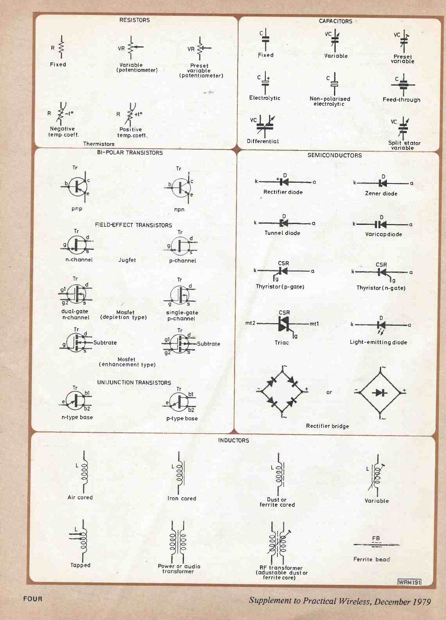

FOUR Supplement to Practical Wireless, December 1979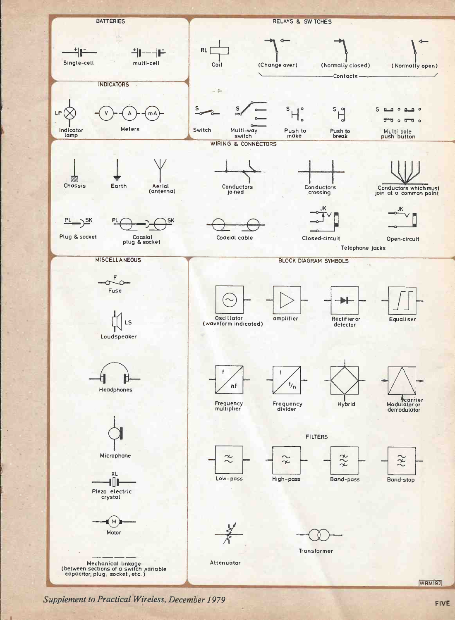

upplement to Practical Wireless, December 1979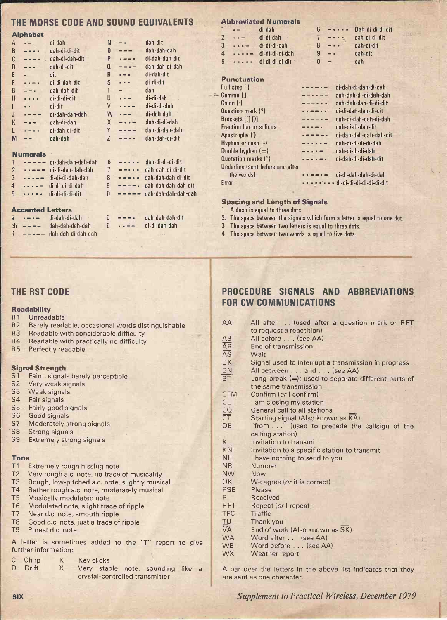# THE MORSE CODE AND SOUND EQUIVALENTS Abbreviated Numerals

|   | <b>Alphabet</b> |                    |                |          |                    |
|---|-----------------|--------------------|----------------|----------|--------------------|
| А |                 | di-dah             | N              |          | dah-dit            |
| B |                 | dah-di-di-dit      | 0              |          | dah-dah-dah        |
| C |                 | dah-di-dah-dit     | P              |          | di-dah-dah-dit     |
| D |                 | dah-di-dit         | Q              |          | dah-dah-di-dah     |
| E |                 | dit                | R              |          | di-dah-dit         |
| F |                 | di-di-dah-dit      | S              |          | di-di-dit          |
| G |                 | dah-dah-dit        | T              |          | dah                |
| H |                 | di-di-di-dit       | U              |          | di-di-dah          |
|   |                 | di-dit             | V              |          | di-di-di-dah       |
| J |                 | di-dah-dah-dah     | W              | $- - -$  | di-dah-dah         |
| К |                 | dah-di-dah         | X              | $ -$     | dah-di-di-dah      |
| L |                 | di-dah-di-dit      | Υ              | $-1 - -$ | dah-di-dah-dah     |
| M |                 | dah-dah            | Z              | $- - +$  | dah-dah-di-dit     |
|   |                 |                    |                |          |                    |
|   | <b>Numerals</b> |                    |                |          |                    |
|   |                 | di-dah-dah-dah-dah | 6              |          | dah-di-di-di-dit   |
| 2 |                 | di-di-dah-dah-dah  | $\overline{1}$ | .        | dah-dah-di-di-dit  |
| 3 |                 | di-di-di-dah-dah   | 8              | $- - -$  | dah-dah-dah-di-dit |

|   | $\blacksquare$ $\blacksquare$ $\blacksquare$ $\blacksquare$ $\blacksquare$ $\blacksquare$ $\blacksquare$ $\blacksquare$ $\blacksquare$ $\blacksquare$ $\blacksquare$ $\blacksquare$ $\blacksquare$ $\blacksquare$ $\blacksquare$ $\blacksquare$ $\blacksquare$ $\blacksquare$ $\blacksquare$ $\blacksquare$ $\blacksquare$ $\blacksquare$ $\blacksquare$ $\blacksquare$ $\blacksquare$ $\blacksquare$ $\blacksquare$ $\blacksquare$ $\blacksquare$ $\blacksquare$ $\blacksquare$ $\blacks$ |  |                                       |
|---|--------------------------------------------------------------------------------------------------------------------------------------------------------------------------------------------------------------------------------------------------------------------------------------------------------------------------------------------------------------------------------------------------------------------------------------------------------------------------------------------|--|---------------------------------------|
|   | $2 \cdot \cdot \cdot$ - di-di-dah-dah-dah                                                                                                                                                                                                                                                                                                                                                                                                                                                  |  | $7 - - \cdot \cdot$ dah-dah-di-di-dit |
|   | $3 \cdot \cdot \cdot$ - di-di-di-dah-dah                                                                                                                                                                                                                                                                                                                                                                                                                                                   |  | $8$ $-- 4$ dah-dah-dah-di-dit         |
| 4 | $\cdots$ $\cdots$ di-di-di-di-dah                                                                                                                                                                                                                                                                                                                                                                                                                                                          |  | $9$ $---$ dah-dah-dah-dah-dit         |
|   | $5 - \cdots$ di-di-di-di-dit                                                                                                                                                                                                                                                                                                                                                                                                                                                               |  | $0$ ----- dah-dah-dah-dah-dah         |

#### Accented Letters

| ä  | $\mathbf{r} = \mathbf{r} - \mathbf{r}$ | di-dah-di-dah              |   |
|----|----------------------------------------|----------------------------|---|
| ch | $- - - -$                              | dah-dah-dah-dah            | ü |
| ñ  |                                        | $--- -$ dah-dah-di-dah-dah |   |

ö ---- dah-dah-dah-dit<br>ü ---- di-di-dah-dah di-di-dah-dah

|   |                 | ADDIƏVIALƏU INUHISIAIS                      |   |                                                                                                                           |                  |
|---|-----------------|---------------------------------------------|---|---------------------------------------------------------------------------------------------------------------------------|------------------|
|   | $\rightarrow -$ | di-dah                                      |   | $\frac{1}{2}$                                                                                                             | Dah-di-di-di-dit |
|   | 2 $-$           | di-di-dah                                   |   | $\frac{1}{2} \left( \frac{1}{2} \right) \left( \frac{1}{2} \right) \left( \frac{1}{2} \right) \left( \frac{1}{2} \right)$ | dah-di-di-dit    |
| 3 |                 | $\cdots$ $\cdots$ di-di-di-dah              | 8 | $\frac{1}{2}$                                                                                                             | dah-di-dit       |
| 4 |                 | $\cdots$ = di-di-di-di-dah                  | я | $\sim$ $\sim$                                                                                                             | dah-dit          |
|   |                 | $5 \cdot \cdot \cdot \cdot$ di-di-di-di-dit | n | $\overline{\phantom{a}}$                                                                                                  | dah              |
|   |                 |                                             |   |                                                                                                                           |                  |

#### Punctuation

| Full stop (.)                    | di-dah-di-dah-di-dah         |
|----------------------------------|------------------------------|
| Comma()                          | dah-dah-di-di-dah-dah        |
| $Colon$ $(:)$                    | dah-dah-dah-di-di-dit        |
| Question mark (?)                | di-di-dah-dah-di-dit         |
| Brackets [(] [)]                 | dah-di-dah-dah-di-dah        |
| <b>Fraction bar or solidus</b>   | dah-di-di-dah-dit            |
| Apostrophe (')                   | di-dah-dah-dah-dah-dit       |
| Hyphen or dash $(-)$             | dah-di-di-di-di-dah          |
| Double hyphen $(=)$              | dah-di-di-di-dah             |
| Quotation marks (")              | di-dah-di-di-dah-dit         |
| Underline (sent before and after |                              |
| the words)                       | di-di-dah-dah-di-dah         |
| Error                            | . - di-di-di-di-di-di-di-dit |
|                                  |                              |
|                                  |                              |

#### **Spacing and Length of Signals**

1. A dash is equal to three dots.

- 2. The space between the signals which form a letter is equal to one dot.<br>3. The space between two letters is equal to three dots.
- 
- 4. The space between two words is equal to five dots.

#### THE RST CODE

#### Readability

#### R1 Unreadable

- R2 Barely readable, occasional words distinguishable
- R3 Readable with considerable difficulty
- R4 Readable with practically no difficulty<br>R5 Perfectly readable
- Perfectly readable

#### Signal Strength

- S1 Faint, signals barely perceptible
- S2 Very weak signals
- S3 Weak signals
- S4 Fair signals
- S5 Fairly good signals
- S6 Good signals
- S7 Moderately strong signals
- S8 Strong signals
- S9 Extremely strong signals

#### Tone

- T1 Extremely rough hissing note
- T2 Very rough a.c. note, no trace of musicality<br>T3 Rough, low-pitched a.c. note, slightly music
- T3 Rough, low-pitched a.c. note, slightly musical<br>T4 Rather rough a.c. note, moderately musical
- Rather rough a.c. note, moderately musical
- T5 Musically modulated note
- T6 Modulated note, slight trace of ripple
- T7 Near d.c. note, smooth ripple<br>T8 Good d.c. note, just a trace of
- Good d.c. note, just a trace of ripple
- T9 Purest d.c. note

A letter is sometimes added to the "T" report to give further information:

C Chirp K **Key clicks** 

D Drift X Very stable note, sounding like a crystal -controlled transmitter

# PROCEDURE SIGNALS AND ABBREVIATIONS FOR CW COMMUNICATIONS

| AA                                    | All after (used after a question mark or RPT           |  |  |  |  |
|---------------------------------------|--------------------------------------------------------|--|--|--|--|
|                                       | to request a repetition)                               |  |  |  |  |
|                                       | All before (see AA)                                    |  |  |  |  |
|                                       | End of transmission                                    |  |  |  |  |
| $\frac{\overline{AB}}{\overline{AB}}$ | Wait                                                   |  |  |  |  |
| BK                                    | Signal used to interrupt a transmission in progress    |  |  |  |  |
| $rac{BN}{BT}$                         | All between and (see AA)                               |  |  |  |  |
|                                       | Long break $(=)$ ; used to separate different parts of |  |  |  |  |
|                                       | the same transmission                                  |  |  |  |  |
| <b>CFM</b>                            | Confirm (or I confirm)                                 |  |  |  |  |
| CL                                    | I am closing my station                                |  |  |  |  |
| $rac{CO}{CT}$                         | General call to all stations                           |  |  |  |  |
|                                       | Starting signal (Also known as KA)                     |  |  |  |  |
| DE                                    | "from" (used to precede the callsign of the            |  |  |  |  |
|                                       | calling station)                                       |  |  |  |  |
| K                                     | Invitation to transmit                                 |  |  |  |  |
| $\overline{KN}$                       | Invitation to a specific station to transmit           |  |  |  |  |
| <b>NIL</b>                            | I have nothing to send to you                          |  |  |  |  |
| <b>NR</b>                             | Number                                                 |  |  |  |  |
| <b>NW</b>                             | Now                                                    |  |  |  |  |
| <b>OK</b>                             | We agree (or it is correct)                            |  |  |  |  |
| <b>PSE</b>                            | Please                                                 |  |  |  |  |
| R.                                    | Received                                               |  |  |  |  |
| <b>RPT</b>                            | Repeat (or I repeat)                                   |  |  |  |  |
| <b>TFC</b>                            | Traffic                                                |  |  |  |  |
| TU                                    | Thank you                                              |  |  |  |  |
| VĀ                                    | End of work (Also known as SK)                         |  |  |  |  |
| <b>WA</b>                             | Word after (see AA)                                    |  |  |  |  |
| <b>WB</b>                             | Word before (see AA)                                   |  |  |  |  |
| <b>WX</b>                             | Weather report                                         |  |  |  |  |

A bar over the letters in the above list indicates that they are sent as one character.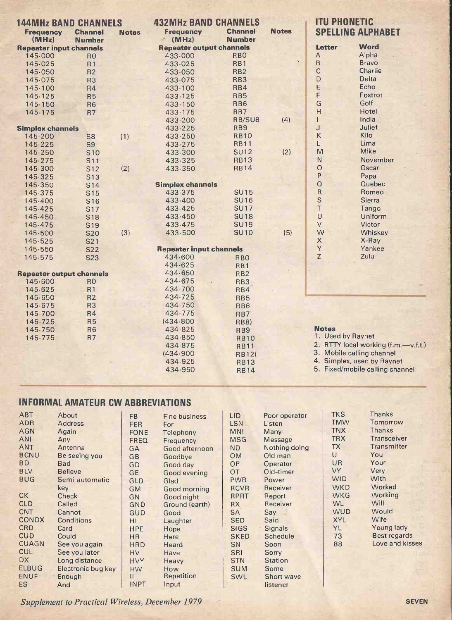| <b>144MHz BAND CHANNELS</b>     |                  |              | <b>432MHz BAND CHANNELS</b>     |                 | <b>ITU PHONETIC</b> |                         |                                     |
|---------------------------------|------------------|--------------|---------------------------------|-----------------|---------------------|-------------------------|-------------------------------------|
| <b>Frequency</b>                | <b>Channel</b>   | <b>Notes</b> | <b>Frequency</b>                | <b>Channel</b>  | <b>Notes</b>        |                         | <b>SPELLING ALPHABET</b>            |
| (MHz)                           | <b>Number</b>    |              | 府<br>(MHz)                      | <b>Number</b>   |                     |                         |                                     |
| <b>Repeater input channels</b>  |                  |              | <b>Repeater output channels</b> |                 |                     | Letter                  | <b>Word</b>                         |
| 145.000                         | R <sub>O</sub>   |              | 433.000                         | <b>RBO</b>      |                     | $\overline{A}$          | Alpha                               |
| 145.025                         | R <sub>1</sub>   |              | 433.025                         | RB <sub>1</sub> | ÷.                  | B                       | <b>Bravo</b>                        |
| 145.050                         | R <sub>2</sub>   |              | 433.050                         | RB <sub>2</sub> |                     | $\mathsf{C}$            | Charlie                             |
| 145.075                         | R <sub>3</sub>   |              | 433.075                         | RB3             |                     | D                       | Delta                               |
| 145.100                         | R4               |              | 433.100                         | RB4             |                     | E                       | Echo                                |
| 145.125                         | R <sub>5</sub>   |              | 433.125                         | RB <sub>5</sub> |                     | F                       | Foxtrot                             |
| 145.150                         | R <sub>6</sub>   |              | 433.150                         | RB <sub>6</sub> |                     | G                       | Golf                                |
| 145.175                         | R7               |              | 433.175                         | RB7             |                     | H                       | Hotel                               |
|                                 |                  |              | 433.200                         | RB/SU8          | (4)                 | $\mathbf{1}$            | India                               |
| <b>Simplex channels</b>         |                  |              | 433.225                         | RB <sub>9</sub> |                     | J                       | Juliet                              |
| 145.200                         | <b>S8</b>        | (1)          | 433.250                         | <b>RB10</b>     |                     | Κ                       | Kilo                                |
| 145.225                         | S <sub>9</sub>   |              | 433.275                         | <b>RB11</b>     |                     | L                       | Lima                                |
| 145.250                         | S <sub>10</sub>  |              | 433.300                         | <b>SU12</b>     | (2)                 | M                       | Mike                                |
| 145.275                         | S <sub>11</sub>  |              | 433.325                         | <b>RB13</b>     |                     | $\mathsf{N}$            | November                            |
| 145.300                         | S <sub>12</sub>  | (2)          | 433.350                         | <b>RB14</b>     |                     | $\circ$                 | Oscar                               |
| 145.325                         | S <sub>13</sub>  |              |                                 |                 |                     | P                       | Papa                                |
| 145.350                         | <b>S14</b>       |              | <b>Simplex channels</b>         |                 |                     | $\Omega$                | Quebec                              |
| 145.375                         | S <sub>15</sub>  |              | 433.375                         | <b>SU15</b>     |                     | $\overline{\mathsf{R}}$ | Romeo                               |
| 145.400                         | S <sub>16</sub>  |              | 433.400                         | <b>SU16</b>     |                     | S                       | Sierra                              |
| 145.425                         | <b>S17</b>       |              | 433.425                         | <b>SU17</b>     |                     | $\top$                  | Tango                               |
| 145.450                         | <b>S18</b>       |              | 433.450                         | <b>SU18</b>     |                     | $\cup$                  | <b>Uniform</b>                      |
| 145.475                         | S <sub>19</sub>  |              | 433.475                         | <b>SU19</b>     |                     | $\vee$                  | Victor                              |
| 145.500                         | <b>S20</b>       | (3)          | 433.500                         | <b>SU10</b>     | (5)                 | W                       | Whiskey                             |
| 145.525                         | S <sub>2</sub> 1 |              |                                 |                 |                     | $\times$                | X-Ray                               |
| 145.550                         | S22              |              | <b>Repeater input channels</b>  |                 |                     | $\mathsf{Y}$            | Yankee                              |
| 145 575                         | <b>S23</b>       |              | 434.600                         | <b>RBO</b>      |                     | Z                       | Zulu                                |
|                                 |                  |              | 434.625                         | RB1             |                     |                         |                                     |
| <b>Repeater output channels</b> |                  |              | 434.650                         | RB <sub>2</sub> |                     |                         |                                     |
| 145.600                         | R <sub>0</sub>   |              | 434.675                         | RB3             |                     |                         |                                     |
| 145.625                         | R <sub>1</sub>   |              | 434.700                         | RB4             |                     |                         |                                     |
| 145.650                         | R <sub>2</sub>   |              | 434.725                         | RB <sub>5</sub> |                     |                         |                                     |
| 145.675                         | R <sub>3</sub>   |              | 434.750                         | RB <sub>6</sub> |                     |                         |                                     |
| 145.700                         | R <sub>4</sub>   |              | 434.775                         | RB7             |                     |                         |                                     |
| 145.725                         | <b>R5</b>        |              | (434.800)                       | <b>RB8</b> )    |                     |                         |                                     |
| 145.750                         | R <sub>6</sub>   |              | 434.825                         | RB9             |                     | <b>Notes</b>            |                                     |
| 145.775                         | <b>R7</b>        |              | 434.850                         | <b>RB10</b>     |                     | 1. Used by Raynet       |                                     |
|                                 |                  |              | 434.875                         | <b>RB11</b>     |                     |                         | 2. RTTY local working (f.m.-v.f.t.) |
|                                 |                  |              | (434.900)                       | <b>RB12</b> )   |                     |                         | 3. Mobile calling channel           |
|                                 |                  |              | 434.925                         | <b>RB13</b>     |                     |                         | 4. Simplex, used by Raynet          |
|                                 |                  |              | 434.950                         | <b>RB14</b>     |                     |                         | 5. Fixed/mobile calling channel     |

# INFORMAL AMATEUR CW ABBREVIATIONS

| <b>ABT</b>      | About              | <b>FB</b>   | Fine business  | <b>LID</b>  | Poor operator  | <b>TKS</b> | <b>Thanks</b>      |
|-----------------|--------------------|-------------|----------------|-------------|----------------|------------|--------------------|
| <b>ADR</b>      | <b>Address</b>     | <b>FER</b>  | For            | LSN         | Listen         | <b>TMW</b> | Tomorrow           |
| <b>AGN</b>      | Again              | <b>FONE</b> | Telephony      | <b>MNI</b>  | Many           | <b>TNX</b> | Thanks             |
| <b>ANI</b>      | Any                | <b>FREQ</b> | Frequency      | <b>MSG</b>  | Message        | <b>TRX</b> | <b>Transceiver</b> |
| ANT             | Antenna            | GA          | Good afternoon | ND.         | Nothing doing  | ТX         | Transmitter        |
| <b>BCNU</b>     | Be seeing you      | GB          | Goodbye        | <b>OM</b>   | Old man        | U          | You                |
| <b>BD</b>       | Bad                | GD          | Good day       | <b>OP</b>   | Operator       | UR         | Your               |
| <b>BLV</b>      | <b>Believe</b>     | <b>GE</b>   | Good evening   | OT          | Old-timer      | <b>VY</b>  | Very               |
| <b>BUG</b>      | Semi-automatic     | GLD         | Glad           | <b>PWR</b>  | Power          | <b>WID</b> | With               |
|                 | key                | <b>GM</b>   | Good morning   | <b>RCVR</b> | Receiver       | <b>WKD</b> | Worked             |
| <b>CK</b>       | Check              | GN          | Good night     | RPRT        | Report         | <b>WKG</b> | Working            |
| <b>CLD</b>      | Called             | GND         | Ground (earth) | RX          | Receiver       | <b>WL</b>  | Will               |
| <b>CNT</b>      | Cannot             | <b>GUD</b>  | Good           | <b>SA</b>   | Say            | <b>WUD</b> | Would              |
| <b>CONDX</b>    | Conditions         | HI          | Laughter       | <b>SED</b>  | Said           | <b>XYL</b> | Wife               |
| CR <sub>D</sub> | Card               | <b>HPE</b>  | Hope           | <b>SIGS</b> | <b>Signals</b> | YL         | Young lady         |
| <b>CUD</b>      | Could              | HR-         | Here           | <b>SKED</b> | Schedule       | 73         | Best regards       |
| <b>CUAGN</b>    | See you again      | <b>HRD</b>  | Heard          | SN          | Soon           | 88         | Love and kisses    |
| <b>CUL</b>      | See you later      | <b>HV</b>   | Have           | <b>SRI</b>  | Sorry          |            |                    |
| <b>DX</b>       | Long distance      | <b>HVY</b>  | Heavy          | <b>STN</b>  | <b>Station</b> |            |                    |
| <b>ELBUG</b>    | Electronic bug key | <b>HW</b>   | How            | <b>SUM</b>  | Some           |            |                    |
| <b>ENUF</b>     | Enough             | Ш           | Repetition     | SWL         | Short wave     |            |                    |
| <b>ES</b>       | And                | <b>INPT</b> | Input          |             | listener       |            |                    |

Supplement to Practical Wireless, December 1979 SEVEN